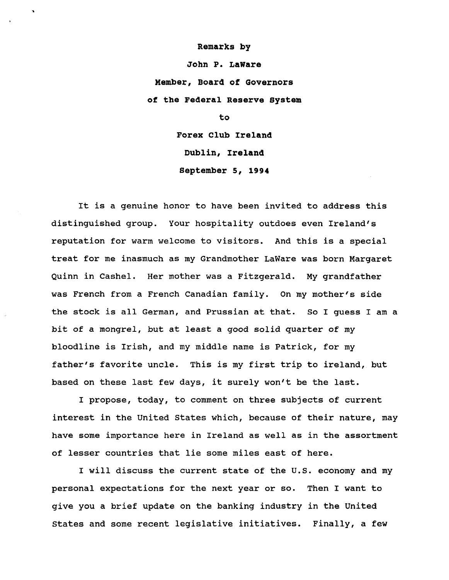## **Remarks by**

**John P. LaWare Member, Board of Governors of the Federal Reserve System**

**to**

**Forex Club Ireland Dublin, Ireland September 5, 1994**

It is a genuine honor to have been invited to address this distinguished group. Your hospitality outdoes even Ireland's reputation for warm welcome to visitors. And this is a special treat for me inasmuch as my Grandmother LaWare was born Margaret Quinn in Cashel. Her mother was a Fitzgerald. My grandfather was French from a French Canadian family. On my mother's side the stock is all German, and Prussian at that. So I guess I am a bit of a mongrel, but at least a good solid quarter of my bloodline is Irish, and my middle name is Patrick, for my father's favorite uncle. This is my first trip to ireland, but based on these last few days, it surely won't be the last.

I propose, today, to comment on three subjects of current interest in the United States which, because of their nature, may have some importance here in Ireland as well as in the assortment of lesser countries that lie some miles east of here.

I will discuss the current state of the U.S. economy and my personal expectations for the next year or so. Then I want to give you a brief update on the banking industry in the United States and some recent legislative initiatives. Finally, a few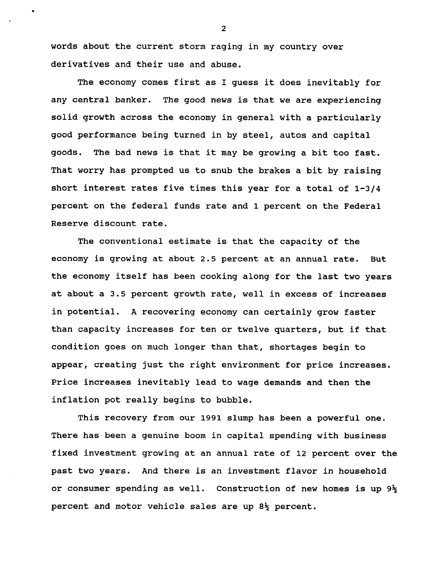**words about the current storm raging in my country over derivatives and their use and abuse.**

**The economy comes first as I guess it does inevitably for any central banker. The good news is that we are experiencing solid growth across the economy in general with a particularly good performance being turned in by steel, autos and capital goods. The bad news is that it may be growing a bit too fast. That worry has prompted us to snub the brakes a bit by raising short interest rates five times this year for a total of 1-3/4 percent on the federal funds rate and 1 percent on the Federal Reserve discount rate.**

**The conventional estimate is that the capacity of the economy is growing at about 2.5 percent at an annual rate. But the economy itself has been cooking along for the last two years at about a 3.5 percent growth rate, well in excess of increases in potential. A recovering economy can certainly grow faster than capacity increases for ten or twelve quarters, but if that condition goes on much longer than that, shortages begin to appear, creating just the right environment for price increases. Price increases inevitably lead to wage demands and then the inflation pot really begins to bubble.**

**This recovery from our 1991 slump has been a powerful one. There has been a genuine boom in capital spending with business fixed investment growing at an annual rate of 12 percent over the past two years. And there is an investment flavor in household or consumer spending as well. Construction of new homes is up 9% percent and motor vehicle sales are up 8% percent.**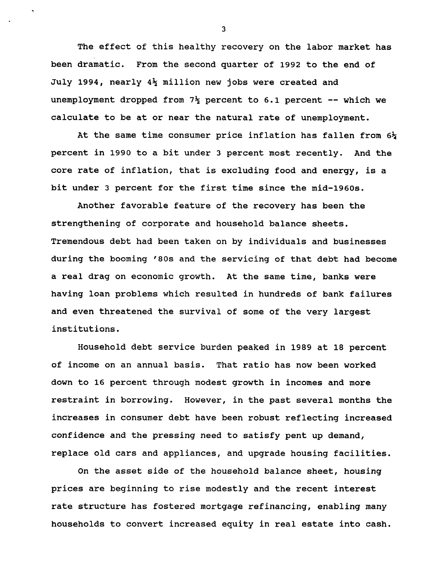**The effect of this healthy recovery on the labor market has been dramatic. From the second quarter of 1992 to the end of July 1994, nearly 4% million new jobs were created and unemployment dropped from 7% percent to 6.1 percent — which we calculate to be at or near the natural rate of unemployment.**

**At the same time consumer price inflation has fallen from 6% percent in 1990 to a bit under 3 percent most recently. And the core rate of inflation, that is excluding food and energy, is a bit under 3 percent for the first time since the mid-1960s.**

**Another favorable feature of the recovery has been the strengthening of corporate and household balance sheets. Tremendous debt had been taken on by individuals and businesses during the booming '80s and the servicing of that debt had become a real drag on economic growth. At the same time, banks were having loan problems which resulted in hundreds of bank failures and even threatened the survival of some of the very largest institutions.**

**Household debt service burden peaked in 1989 at 18 percent of income on an annual basis. That ratio has now been worked down to 16 percent through modest growth in incomes and more restraint in borrowing. However, in the past several months the increases in consumer debt have been robust reflecting increased confidence and the pressing need to satisfy pent up demand, replace old cars and appliances, and upgrade housing facilities.**

**On the asset side of the household balance sheet, housing prices are beginning to rise modestly and the recent interest rate structure has fostered mortgage refinancing, enabling many households to convert increased equity in real estate into cash.**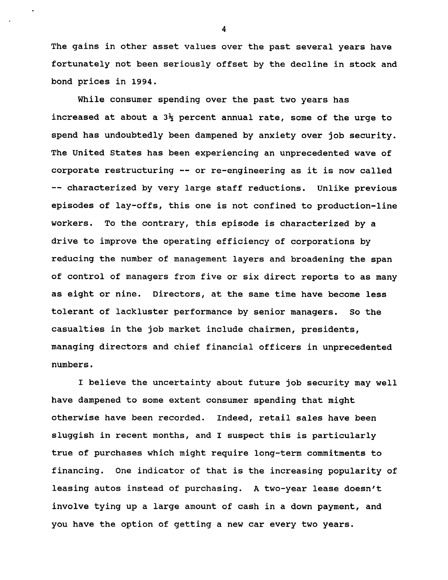**The gains in other asset values over the past several years have fortunately not been seriously offset by the decline in stock and bond prices in 1994.**

**While consumer spending over the past two years has increased at about a 3% percent annual rate, some of the urge to spend has undoubtedly been dampened by anxiety over job security. The United States has been experiencing an unprecedented wave of corporate restructuring — or re-engineering as it is now called — characterized by very large staff reductions. Unlike previous episodes of lay-offs, this one is not confined to production-line workers. To the contrary, this episode is characterized by a drive to improve the operating efficiency of corporations by reducing the number of management layers and broadening the span of control of managers from five or six direct reports to as many as eight or nine. Directors, at the same time have become less tolerant of lackluster performance by senior managers. So the casualties in the job market include chairmen, presidents, managing directors and chief financial officers in unprecedented numbers.**

**I believe the uncertainty about future job security may well have dampened to some extent consumer spending that might otherwise have been recorded. Indeed, retail sales have been sluggish in recent months, and I suspect this is particularly true of purchases which might require long-term commitments to financing. One indicator of that is the increasing popularity of leasing autos instead of purchasing. A two-year lease doesn't involve tying up a large amount of cash in a down payment, and you have the option of getting a new car every two years.**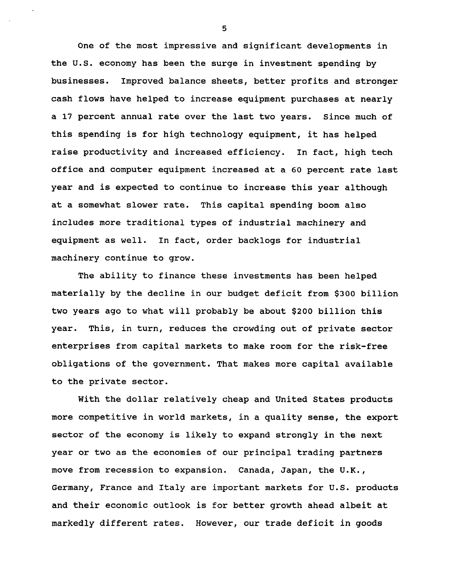**One of the most impressive and significant developments in the U.S. economy has been the surge in investment spending by businesses. Improved balance sheets, better profits and stronger cash flows have helped to increase equipment purchases at nearly a 17 percent annual rate over the last two years. Since much of this spending is for high technology equipment, it has helped raise productivity and increased efficiency. In fact, high tech office and computer equipment increased at a 60 percent rate last year and is expected to continue to increase this year although at a somewhat slower rate. This capital spending boom also includes more traditional types of industrial machinery and equipment as well. In fact, order backlogs for industrial machinery continue to grow.**

**The ability to finance these investments has been helped materially by the decline in our budget deficit from \$300 billion two years ago to what will probably be about \$200 billion this year. This, in turn, reduces the crowding out of private sector enterprises from capital markets to make room for the risk-free obligations of the government. That makes more capital available to the private sector.**

**With the dollar relatively cheap and United States products more competitive in world markets, in a quality sense, the export sector of the economy is likely to expand strongly in the next year or two as the economies of our principal trading partners move from recession to expansion. Canada, Japan, the U.K., Germany, France and Italy are important markets for U.S. products and their economic outlook is for better growth ahead albeit at markedly different rates. However, our trade deficit in goods**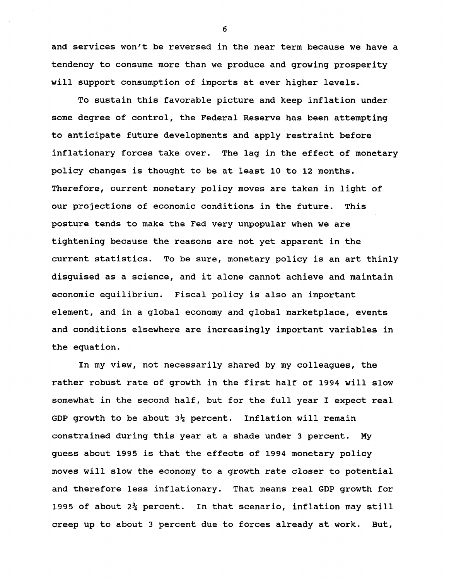**and services won't be reversed in the near term because we have a tendency to consume more than we produce and growing prosperity will support consumption of imports at ever higher levels.**

**To sustain this favorable picture and keep inflation under some degree of control, the Federal Reserve has been attempting to anticipate future developments and apply restraint before inflationary forces take over. The lag in the effect of monetary policy changes is thought to be at least 10 to 12 months. Therefore, current monetary policy moves are taken in light of our projections of economic conditions in the future. This posture tends to make the Fed very unpopular when we are tightening because the reasons are not yet apparent in the current statistics. To be sure, monetary policy is an art thinly disguised as a science, and it alone cannot achieve and maintain economic equilibrium. Fiscal policy is also an important element, and in a global economy and global marketplace, events and conditions elsewhere are increasingly important variables in the equation.**

**In my view, not necessarily shared by my colleagues, the rather robust rate of growth in the first half of 1994 will slow somewhat in the second half, but for the full year I expect real GDP growth to be about 3^ percent. Inflation will remain constrained during this year at a shade under 3 percent. My guess about 1995 is that the effects of 1994 monetary policy moves will slow the economy to a growth rate closer to potential and therefore less inflationary. That means real GDP growth for 1995 of about 2% percent. In that scenario, inflation may still creep up to about 3 percent due to forces already at work. But,**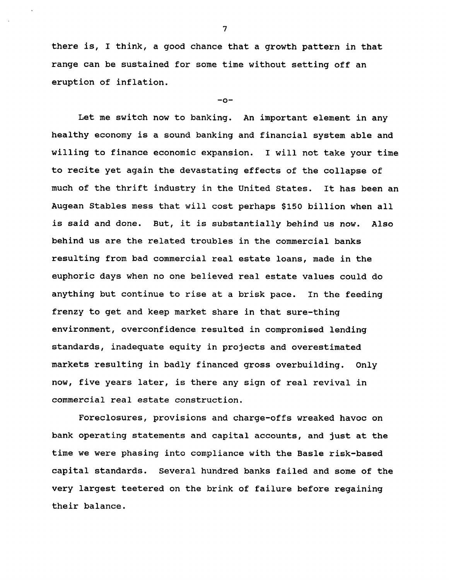**there is, I think, a good chance that a growth pattern in that range can be sustained for some time without setting off an eruption of inflation.**

## **-o-**

**Let me switch now to banking. An important element in any healthy economy is a sound banking and financial system able and willing to finance economic expansion. I will not take your time to recite yet again the devastating effects of the collapse of much of the thrift industry in the United States. It has been an Augean Stables mess that will cost perhaps \$150 billion when all is said and done. But, it is substantially behind us now. Also behind us are the related troubles in the commercial banks resulting from bad commercial real estate loans, made in the euphoric days when no one believed real estate values could do anything but continue to rise at a brisk pace. In the feeding frenzy to get and keep market share in that sure-thing environment, overconfidence resulted in compromised lending standards, inadequate equity in projects and overestimated markets resulting in badly financed gross overbuilding. Only now, five years later, is there any sign of real revival in commercial real estate construction.**

**Foreclosures, provisions and charge-offs wreaked havoc on bank operating statements and capital accounts, and just at the time we were phasing into compliance with the Basle risk-based capital standards. Several hundred banks failed and some of the very largest teetered on the brink of failure before regaining their balance.**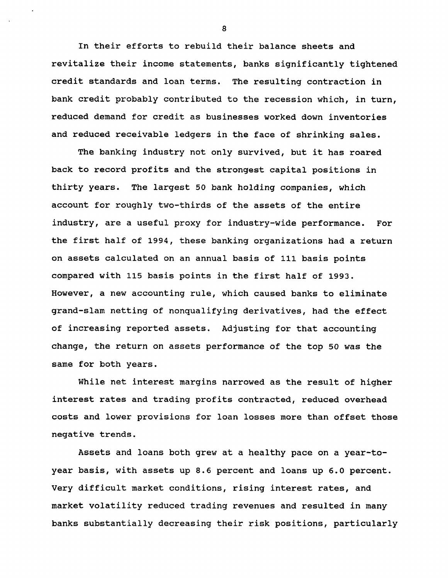**In their efforts to rebuild their balance sheets and revitalize their income statements, banks significantly tightened credit standards and loan terms. The resulting contraction in bank credit probably contributed to the recession which, in turn, reduced demand for credit as businesses worked down inventories and reduced receivable ledgers in the face of shrinking sales.**

**The banking industry not only survived, but it has roared back to record profits and the strongest capital positions in thirty years. The largest 50 bank holding companies, which account for roughly two-thirds of the assets of the entire industry, are a useful proxy for industry-wide performance. For the first half of 1994, these banking organizations had a return on assets calculated on an annual basis of 111 basis points compared with 115 basis points in the first half of 1993. However, a new accounting rule, which caused banks to eliminate grand-slam netting of nonqualifying derivatives, had the effect of increasing reported assets. Adjusting for that accounting change, the return on assets performance of the top 50 was the same for both years.**

**While net interest margins narrowed as the result of higher interest rates and trading profits contracted, reduced overhead costs and lower provisions for loan losses more than offset those negative trends.**

**Assets and loans both grew at a healthy pace on a year-toyear basis, with assets up 8.6 percent and loans up 6.0 percent. Very difficult market conditions, rising interest rates, and market volatility reduced trading revenues and resulted in many banks substantially decreasing their risk positions, particularly**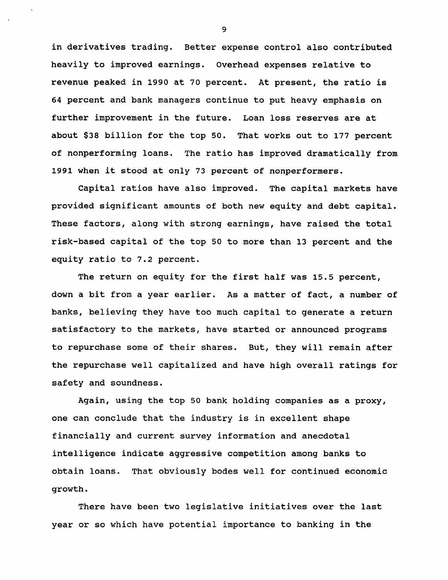**in derivatives trading. Better expense control also contributed heavily to improved earnings. Overhead expenses relative to revenue peaked in 1990 at 70 percent. At present, the ratio is 64 percent and bank managers continue to put heavy emphasis on further improvement in the future. Loan loss reserves are at about \$38 billion for the top 50. That works out to 177 percent of nonperforming loans. The ratio has improved dramatically from 1991 when it stood at only 73 percent of nonperformers.**

**Capital ratios have also improved. The capital markets have provided significant amounts of both new equity and debt capital. These factors, along with strong earnings, have raised the total risk-based capital of the top 50 to more than 13 percent and the equity ratio to 7.2 percent.**

**The return on equity for the first half was 15.5 percent, down a bit from a year earlier. As a matter of fact, a number of banks, believing they have too much capital to generate a return satisfactory to the markets, have started or announced programs to repurchase some of their shares. But, they will remain after the repurchase well capitalized and have high overall ratings for safety and soundness.**

**Again, using the top 50 bank holding companies as a proxy, one can conclude that the industry is in excellent shape financially and current survey information and anecdotal intelligence indicate aggressive competition among banks to obtain loans. That obviously bodes well for continued economic growth.**

**There have been two legislative initiatives over the last year or so which have potential importance to banking in the**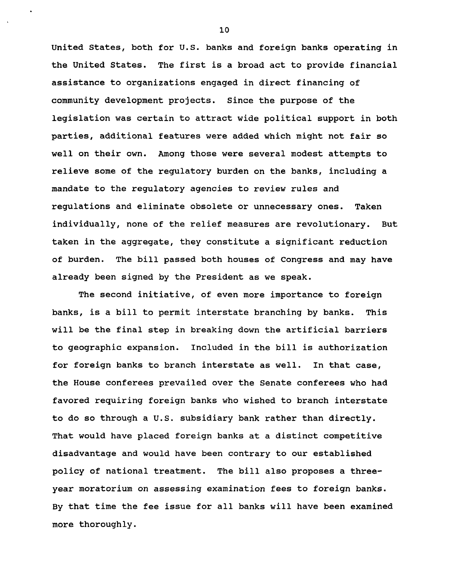**United States, both for U.S. banks and foreign banks operating in the United States. The first is a broad act to provide financial assistance to organizations engaged in direct financing of community development projects. Since the purpose of the legislation was certain to attract wide political support in both parties, additional features were added which might not fair so well on their own. Among those were several modest attempts to relieve some of the regulatory burden on the banks, including a mandate to the regulatory agencies to review rules and regulations and eliminate obsolete or unnecessary ones. Taken individually, none of the relief measures are revolutionary. But taken in the aggregate, they constitute a significant reduction of burden. The bill passed both houses of Congress and may have already been signed by the President as we speak.**

**The second initiative, of even more importance to foreign banks, is a bill to permit interstate branching by banks. This will be the final step in breaking down the artificial barriers to geographic expansion. Included in the bill is authorization for foreign banks to branch interstate as well. In that case, the House conferees prevailed over the Senate conferees who had favored requiring foreign banks who wished to branch interstate to do so through a U.S. subsidiary bank rather than directly. That would have placed foreign banks at a distinct competitive disadvantage and would have been contrary to our established policy of national treatment. The bill also proposes a threeyear moratorium on assessing examination fees to foreign banks. By that time the fee issue for all banks will have been examined more thoroughly.**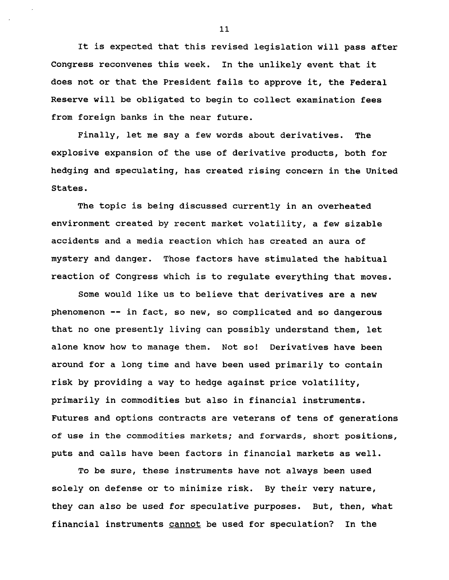**It is expected that this revised legislation will pass after Congress reconvenes this week. In the unlikely event that it does not or that the President fails to approve it, the Federal Reserve will be obligated to begin to collect examination fees from foreign banks in the near future.**

**Finally, let me say a few words about derivatives. The explosive expansion of the use of derivative products, both for hedging and speculating, has created rising concern in the United States.**

**The topic is being discussed currently in an overheated environment created by recent market volatility, a few sizable accidents and a media reaction which has created an aura of mystery and danger. Those factors have stimulated the habitual reaction of Congress which is to regulate everything that moves.**

**Some would like us to believe that derivatives are a new phenomenon — in fact, so new, so complicated and so dangerous that no one presently living can possibly understand them, let alone know how to manage them. Not so! Derivatives have been around for a long time and have been used primarily to contain risk by providing a way to hedge against price volatility, primarily in commodities but also in financial instruments. Futures and options contracts are veterans of tens of generations of use in the commodities markets; and forwards, short positions, puts and calls have been factors in financial markets as well.**

**To be sure, these instruments have not always been used solely on defense or to minimize risk. By their very nature, they can also be used for speculative purposes. But, then, what financial instruments cannot be used for speculation? In the**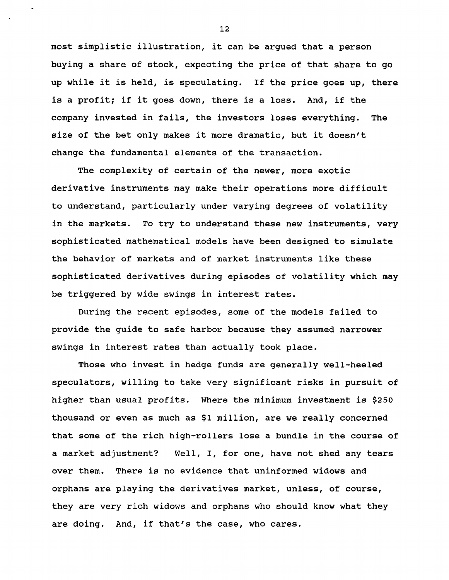**most simplistic illustration, it can be argued that a person buying a share of stock, expecting the price of that share to go up while it is held, is speculating. If the price goes up, there is a profit; if it goes down, there is a loss. And, if the company invested in fails, the investors loses everything. The size of the bet only makes it more dramatic, but it doesn't change the fundamental elements of the transaction.**

**The complexity of certain of the newer, more exotic derivative instruments may make their operations more difficult to understand, particularly under varying degrees of volatility in the markets. To try to understand these new instruments, very sophisticated mathematical models have been designed to simulate the behavior of markets and of market instruments like these sophisticated derivatives during episodes of volatility which may be triggered by wide swings in interest rates.**

**During the recent episodes, some of the models failed to provide the guide to safe harbor because they assumed narrower swings in interest rates than actually took place.**

**Those who invest in hedge funds are generally well-heeled speculators, willing to take very significant risks in pursuit of higher than usual profits. Where the minimum investment is \$250 thousand or even as much as \$1 million, are we really concerned that some of the rich high-rollers lose a bundle in the course of a market adjustment? Well, I, for one, have not shed any tears over them. There is no evidence that uninformed widows and orphans are playing the derivatives market, unless, of course, they are very rich widows and orphans who should know what they are doing. And, if that's the case, who cares.**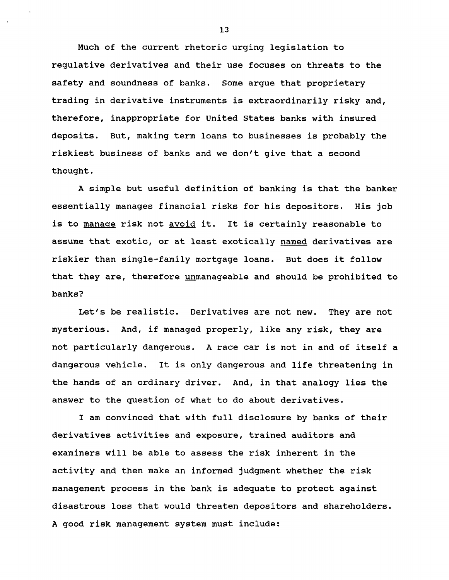**Much of the current rhetoric urging legislation to regulative derivatives and their use focuses on threats to the safety and soundness of banks. Some argue that proprietary trading in derivative instruments is extraordinarily risky and, therefore, inappropriate for United States banks with insured deposits. But, making term loans to businesses is probably the riskiest business of banks and we don't give that a second thought.**

**A simple but useful definition of banking is that the banker essentially manages financial risks for his depositors. His job is to manage risk not avoid it. It is certainly reasonable to assume that exotic, or at least exotically named derivatives are riskier than single-family mortgage loans. But does it follow that they are, therefore unmanageable and should be prohibited to banks?**

**Let's be realistic. Derivatives are not new. They are not mysterious. And, if managed properly, like any risk, they are not particularly dangerous. A race car is not in and of itself a dangerous vehicle. It is only dangerous and life threatening in the hands of an ordinary driver. And, in that analogy lies the answer to the question of what to do about derivatives.**

**I am convinced that with full disclosure by banks of their derivatives activities and exposure, trained auditors and examiners will be able to assess the risk inherent in the activity and then make an informed judgment whether the risk management process in the bank is adequate to protect against disastrous loss that would threaten depositors and shareholders. A good risk management system must include:**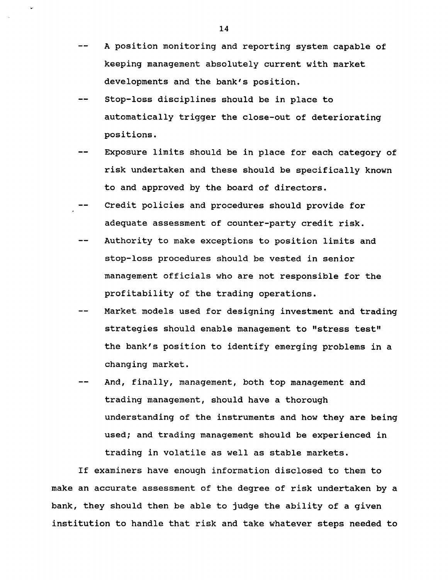- $-$ **A position monitoring and reporting system capable of keeping management absolutely current with market developments and the bank's position.**
- **Stop-loss disciplines should be in place to automatically trigger the close-out of deteriorating positions.**
- **Exposure limits should be in place for each category of risk undertaken and these should be specifically known to and approved by the board of directors.**
- **Credit policies and procedures should provide for adequate assessment of counter-party credit risk.**
- **Authority to make exceptions to position limits and stop-loss procedures should be vested in senior management officials who are not responsible for the profitability of the trading operations.**
- **Market models used for designing investment and trading strategies should enable management to "stress test" the bank's position to identify emerging problems in a changing market.**
- **And, finally, management, both top management and trading management, should have a thorough understanding of the instruments and how they are being used; and trading management should be experienced in trading in volatile as well as stable markets.**

**If examiners have enough information disclosed to them to make an accurate assessment of the degree of risk undertaken by a bank, they should then be able to judge the ability of a given institution to handle that risk and take whatever steps needed to**